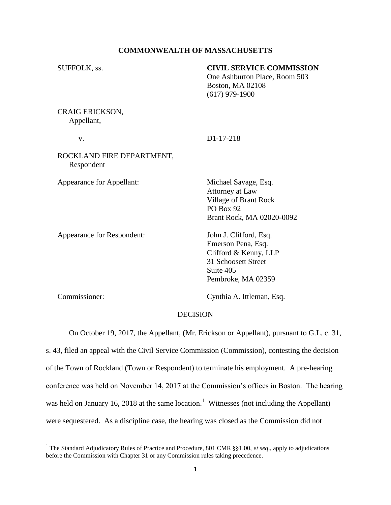## **COMMONWEALTH OF MASSACHUSETTS**

| SUFFOLK, ss.                            | <b>CIVIL SERVICE COMMISSION</b><br>One Ashburton Place, Room 503<br>Boston, MA 02108<br>$(617)$ 979-1900                        |
|-----------------------------------------|---------------------------------------------------------------------------------------------------------------------------------|
| CRAIG ERICKSON,<br>Appellant,           |                                                                                                                                 |
| V.                                      | D1-17-218                                                                                                                       |
| ROCKLAND FIRE DEPARTMENT,<br>Respondent |                                                                                                                                 |
| Appearance for Appellant:               | Michael Savage, Esq.<br>Attorney at Law<br>Village of Brant Rock<br>PO Box 92<br>Brant Rock, MA 02020-0092                      |
| Appearance for Respondent:              | John J. Clifford, Esq.<br>Emerson Pena, Esq.<br>Clifford & Kenny, LLP<br>31 Schoosett Street<br>Suite 405<br>Pembroke, MA 02359 |
|                                         |                                                                                                                                 |

 $\overline{\phantom{a}}$ 

Commissioner: Cynthia A. Ittleman, Esq.

# DECISION

On October 19, 2017, the Appellant, (Mr. Erickson or Appellant), pursuant to G.L. c. 31,

s. 43, filed an appeal with the Civil Service Commission (Commission), contesting the decision of the Town of Rockland (Town or Respondent) to terminate his employment. A pre-hearing conference was held on November 14, 2017 at the Commission's offices in Boston. The hearing was held on January 16, 2018 at the same location.<sup>1</sup> Witnesses (not including the Appellant) were sequestered. As a discipline case, the hearing was closed as the Commission did not

<sup>&</sup>lt;sup>1</sup> The Standard Adjudicatory Rules of Practice and Procedure, 801 CMR §§1.00, *et seq.*, apply to adjudications before the Commission with Chapter 31 or any Commission rules taking precedence.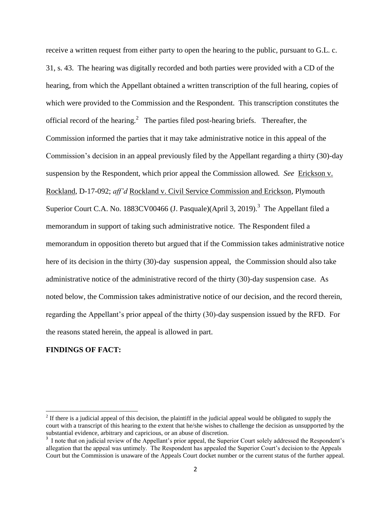receive a written request from either party to open the hearing to the public, pursuant to G.L. c. 31, s. 43. The hearing was digitally recorded and both parties were provided with a CD of the hearing, from which the Appellant obtained a written transcription of the full hearing, copies of which were provided to the Commission and the Respondent. This transcription constitutes the official record of the hearing.<sup>2</sup> The parties filed post-hearing briefs. Thereafter, the Commission informed the parties that it may take administrative notice in this appeal of the Commission's decision in an appeal previously filed by the Appellant regarding a thirty (30)-day suspension by the Respondent, which prior appeal the Commission allowed. *See* Erickson v. Rockland, D-17-092; *aff'd* Rockland v. Civil Service Commission and Erickson, Plymouth Superior Court C.A. No. 1883CV00466 (J. Pasquale)(April 3, 2019).<sup>3</sup> The Appellant filed a memorandum in support of taking such administrative notice. The Respondent filed a memorandum in opposition thereto but argued that if the Commission takes administrative notice here of its decision in the thirty (30)-day suspension appeal, the Commission should also take administrative notice of the administrative record of the thirty (30)-day suspension case. As noted below, the Commission takes administrative notice of our decision, and the record therein, regarding the Appellant's prior appeal of the thirty (30)-day suspension issued by the RFD. For the reasons stated herein, the appeal is allowed in part.

### **FINDINGS OF FACT:**

l

 $2<sup>2</sup>$  If there is a judicial appeal of this decision, the plaintiff in the judicial appeal would be obligated to supply the court with a transcript of this hearing to the extent that he/she wishes to challenge the decision as unsupported by the substantial evidence, arbitrary and capricious, or an abuse of discretion.

<sup>&</sup>lt;sup>3</sup> I note that on judicial review of the Appellant's prior appeal, the Superior Court solely addressed the Respondent's allegation that the appeal was untimely. The Respondent has appealed the Superior Court's decision to the Appeals Court but the Commission is unaware of the Appeals Court docket number or the current status of the further appeal.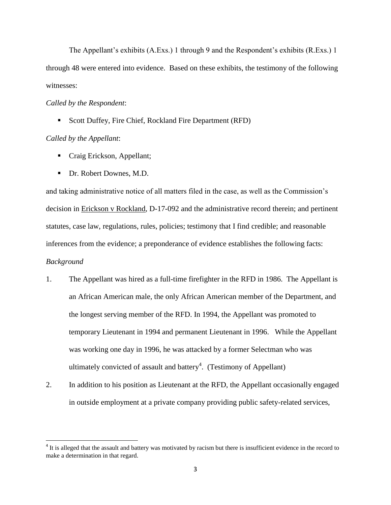The Appellant's exhibits (A.Exs.) 1 through 9 and the Respondent's exhibits (R.Exs.) 1 through 48 were entered into evidence. Based on these exhibits, the testimony of the following witnesses:

#### *Called by the Respondent*:

■ Scott Duffey, Fire Chief, Rockland Fire Department (RFD)

### *Called by the Appellant*:

- **Craig Erickson, Appellant;**
- Dr. Robert Downes, M.D.

and taking administrative notice of all matters filed in the case, as well as the Commission's decision in Erickson v Rockland, D-17-092 and the administrative record therein; and pertinent statutes, case law, regulations, rules, policies; testimony that I find credible; and reasonable inferences from the evidence; a preponderance of evidence establishes the following facts: *Background*

- 1. The Appellant was hired as a full-time firefighter in the RFD in 1986. The Appellant is an African American male, the only African American member of the Department, and the longest serving member of the RFD. In 1994, the Appellant was promoted to temporary Lieutenant in 1994 and permanent Lieutenant in 1996. While the Appellant was working one day in 1996, he was attacked by a former Selectman who was ultimately convicted of assault and battery<sup>4</sup>. (Testimony of Appellant)
- 2. In addition to his position as Lieutenant at the RFD, the Appellant occasionally engaged in outside employment at a private company providing public safety-related services,

<sup>&</sup>lt;sup>4</sup> It is alleged that the assault and battery was motivated by racism but there is insufficient evidence in the record to make a determination in that regard.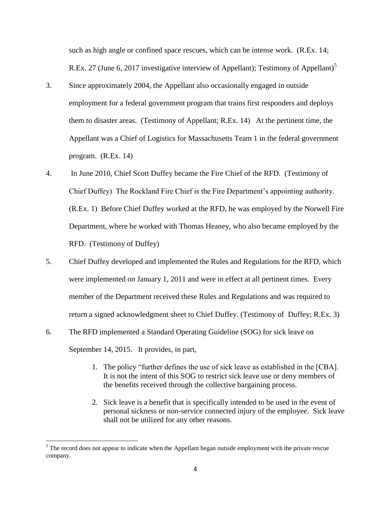such as high angle or confined space rescues, which can be intense work. (R.Ex. 14; R.Ex. 27 (June 6, 2017 investigative interview of Appellant); Testimony of Appellant)<sup>5</sup>

- 3. Since approximately 2004, the Appellant also occasionally engaged in outside employment for a federal government program that trains first responders and deploys them to disaster areas. (Testimony of Appellant; R.Ex. 14) At the pertinent time, the Appellant was a Chief of Logistics for Massachusetts Team 1 in the federal government program. (R.Ex. 14)
- 4. In June 2010, Chief Scott Duffey became the Fire Chief of the RFD. (Testimony of Chief Duffey) The Rockland Fire Chief is the Fire Department's appointing authority. (R.Ex. 1) Before Chief Duffey worked at the RFD, he was employed by the Norwell Fire Department, where he worked with Thomas Heaney, who also became employed by the RFD. (Testimony of Duffey)
- 5. Chief Duffey developed and implemented the Rules and Regulations for the RFD, which were implemented on January 1, 2011 and were in effect at all pertinent times. Every member of the Department received these Rules and Regulations and was required to return a signed acknowledgment sheet to Chief Duffey. (Testimony of Duffey; R.Ex. 3)
- 6. The RFD implemented a Standard Operating Guideline (SOG) for sick leave on September 14, 2015. It provides, in part,
	- 1. The policy "further defines the use of sick leave as established in the [CBA]. It is not the intent of this SOG to restrict sick leave use or deny members of the benefits received through the collective bargaining process.
	- 2. Sick leave is a benefit that is specifically intended to be used in the event of personal sickness or non-service connected injury of the employee. Sick leave shall not be utilized for any other reasons.

 $\overline{\phantom{a}}$ 

 $<sup>5</sup>$  The record does not appear to indicate when the Appellant began outside employment with the private rescue</sup> company.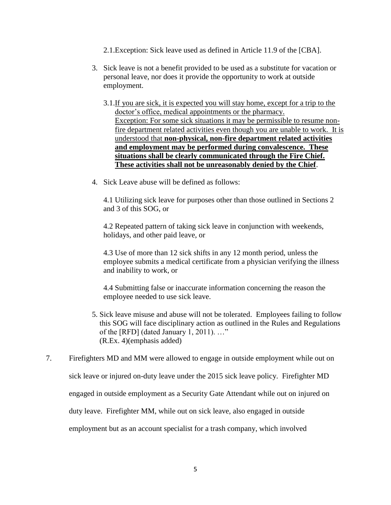- 2.1.Exception: Sick leave used as defined in Article 11.9 of the [CBA].
- 3. Sick leave is not a benefit provided to be used as a substitute for vacation or personal leave, nor does it provide the opportunity to work at outside employment.
	- 3.1.If you are sick, it is expected you will stay home, except for a trip to the doctor's office, medical appointments or the pharmacy. Exception: For some sick situations it may be permissible to resume nonfire department related activities even though you are unable to work. It is understood that **non-physical, non-fire department related activities and employment may be performed during convalescence. These situations shall be clearly communicated through the Fire Chief. These activities shall not be unreasonably denied by the Chief**.
- 4. Sick Leave abuse will be defined as follows:

4.1 Utilizing sick leave for purposes other than those outlined in Sections 2 and 3 of this SOG, or

4.2 Repeated pattern of taking sick leave in conjunction with weekends, holidays, and other paid leave, or

4.3 Use of more than 12 sick shifts in any 12 month period, unless the employee submits a medical certificate from a physician verifying the illness and inability to work, or

4.4 Submitting false or inaccurate information concerning the reason the employee needed to use sick leave.

- 5. Sick leave misuse and abuse will not be tolerated. Employees failing to follow this SOG will face disciplinary action as outlined in the Rules and Regulations of the [RFD] (dated January 1, 2011). …" (R.Ex. 4)(emphasis added)
- 7. Firefighters MD and MM were allowed to engage in outside employment while out on sick leave or injured on-duty leave under the 2015 sick leave policy. Firefighter MD engaged in outside employment as a Security Gate Attendant while out on injured on duty leave. Firefighter MM, while out on sick leave, also engaged in outside employment but as an account specialist for a trash company, which involved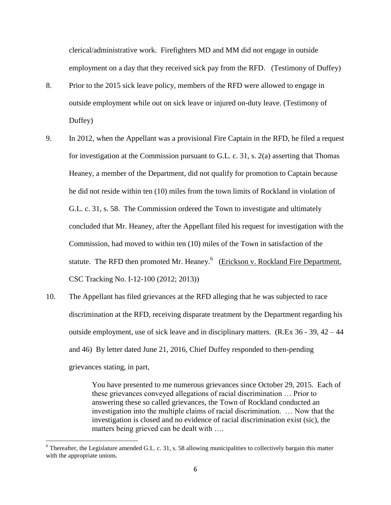clerical/administrative work. Firefighters MD and MM did not engage in outside employment on a day that they received sick pay from the RFD. (Testimony of Duffey)

- 8. Prior to the 2015 sick leave policy, members of the RFD were allowed to engage in outside employment while out on sick leave or injured on-duty leave. (Testimony of Duffey)
- 9. In 2012, when the Appellant was a provisional Fire Captain in the RFD, he filed a request for investigation at the Commission pursuant to G.L. c. 31, s. 2(a) asserting that Thomas Heaney, a member of the Department, did not qualify for promotion to Captain because he did not reside within ten (10) miles from the town limits of Rockland in violation of G.L. c. 31, s. 58. The Commission ordered the Town to investigate and ultimately concluded that Mr. Heaney, after the Appellant filed his request for investigation with the Commission, had moved to within ten (10) miles of the Town in satisfaction of the statute. The RFD then promoted Mr. Heaney.<sup>6</sup> (Erickson v. Rockland Fire Department, CSC Tracking No. I-12-100 (2012; 2013))
- 10. The Appellant has filed grievances at the RFD alleging that he was subjected to race discrimination at the RFD, receiving disparate treatment by the Department regarding his outside employment, use of sick leave and in disciplinary matters. (R.Ex 36 - 39, 42 – 44 and 46) By letter dated June 21, 2016, Chief Duffey responded to then-pending grievances stating, in part,

You have presented to me numerous grievances since October 29, 2015. Each of these grievances conveyed allegations of racial discrimination … Prior to answering these so called grievances, the Town of Rockland conducted an investigation into the multiple claims of racial discrimination. … Now that the investigation is closed and no evidence of racial discrimination exist (sic), the matters being grieved can be dealt with ….

 $\overline{\phantom{a}}$ 

 $6$  Thereafter, the Legislature amended G.L. c. 31, s. 58 allowing municipalities to collectively bargain this matter with the appropriate unions.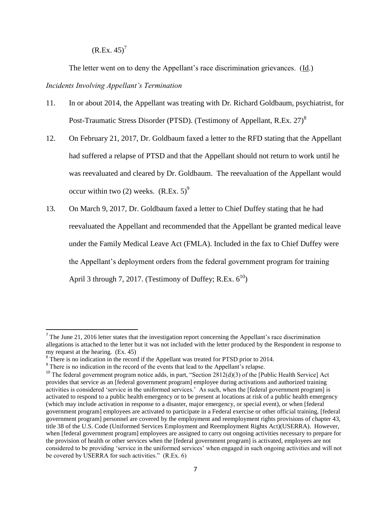$(R.Ex. 45)^7$ 

The letter went on to deny the Appellant's race discrimination grievances. (Id.) *Incidents Involving Appellant's Termination*

- 11. In or about 2014, the Appellant was treating with Dr. Richard Goldbaum, psychiatrist, for Post-Traumatic Stress Disorder (PTSD). (Testimony of Appellant, R.Ex. 27)<sup>8</sup>
- 12. On February 21, 2017, Dr. Goldbaum faxed a letter to the RFD stating that the Appellant had suffered a relapse of PTSD and that the Appellant should not return to work until he was reevaluated and cleared by Dr. Goldbaum. The reevaluation of the Appellant would occur within two (2) weeks.  $(R.Ex. 5)^9$
- 13. On March 9, 2017, Dr. Goldbaum faxed a letter to Chief Duffey stating that he had reevaluated the Appellant and recommended that the Appellant be granted medical leave under the Family Medical Leave Act (FMLA). Included in the fax to Chief Duffey were the Appellant's deployment orders from the federal government program for training April 3 through 7, 2017. (Testimony of Duffey; R.Ex.  $6^{10}$ )

 $\overline{a}$ 

<sup>&</sup>lt;sup>7</sup> The June 21, 2016 letter states that the investigation report concerning the Appellant's race discrimination allegations is attached to the letter but it was not included with the letter produced by the Respondent in response to my request at the hearing. (Ex. 45)

<sup>&</sup>lt;sup>8</sup> There is no indication in the record if the Appellant was treated for PTSD prior to 2014.

<sup>&</sup>lt;sup>9</sup> There is no indication in the record of the events that lead to the Appellant's relapse.

<sup>&</sup>lt;sup>10</sup> The federal government program notice adds, in part, "Section  $2812(d)(3)$  of the [Public Health Service] Act provides that service as an [federal government program] employee during activations and authorized training activities is considered 'service in the uniformed services.' As such, when the [federal government program] is activated to respond to a public health emergency or to be present at locations at risk of a public health emergency (which may include activation in response to a disaster, major emergency, or special event), or when [federal government program] employees are activated to participate in a Federal exercise or other official training, [federal government program] personnel are covered by the employment and reemployment rights provisions of chapter 43, title 38 of the U.S. Code (Uniformed Services Employment and Reemployment Rights Act)(USERRA). However, when [federal government program] employees are assigned to carry out ongoing activities necessary to prepare for the provision of health or other services when the [federal government program] is activated, employees are not considered to be providing 'service in the uniformed services' when engaged in such ongoing activities and will not be covered by USERRA for such activities." (R.Ex. 6)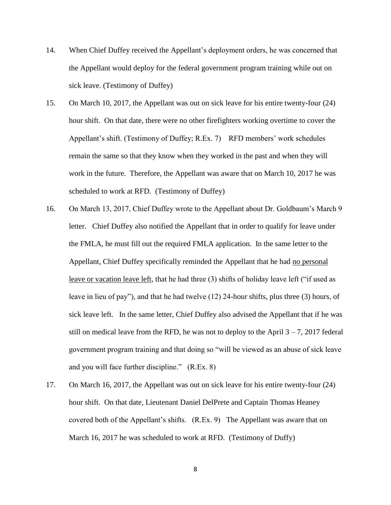- 14. When Chief Duffey received the Appellant's deployment orders, he was concerned that the Appellant would deploy for the federal government program training while out on sick leave. (Testimony of Duffey)
- 15. On March 10, 2017, the Appellant was out on sick leave for his entire twenty-four (24) hour shift. On that date, there were no other firefighters working overtime to cover the Appellant's shift. (Testimony of Duffey; R.Ex. 7) RFD members' work schedules remain the same so that they know when they worked in the past and when they will work in the future. Therefore, the Appellant was aware that on March 10, 2017 he was scheduled to work at RFD. (Testimony of Duffey)
- 16. On March 13, 2017, Chief Duffey wrote to the Appellant about Dr. Goldbaum's March 9 letter. Chief Duffey also notified the Appellant that in order to qualify for leave under the FMLA, he must fill out the required FMLA application. In the same letter to the Appellant, Chief Duffey specifically reminded the Appellant that he had no personal leave or vacation leave left, that he had three (3) shifts of holiday leave left ("if used as leave in lieu of pay"), and that he had twelve (12) 24-hour shifts, plus three (3) hours, of sick leave left. In the same letter, Chief Duffey also advised the Appellant that if he was still on medical leave from the RFD, he was not to deploy to the April  $3 - 7$ , 2017 federal government program training and that doing so "will be viewed as an abuse of sick leave and you will face further discipline." (R.Ex. 8)
- 17. On March 16, 2017, the Appellant was out on sick leave for his entire twenty-four (24) hour shift. On that date, Lieutenant Daniel DelPrete and Captain Thomas Heaney covered both of the Appellant's shifts. (R.Ex. 9) The Appellant was aware that on March 16, 2017 he was scheduled to work at RFD. (Testimony of Duffy)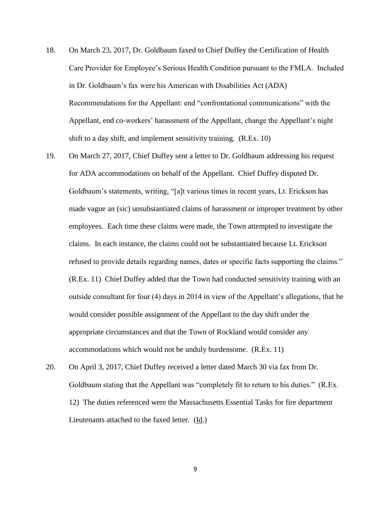- 18. On March 23, 2017, Dr. Goldbaum faxed to Chief Duffey the Certification of Health Care Provider for Employee's Serious Health Condition pursuant to the FMLA. Included in Dr. Goldbaum's fax were his American with Disabilities Act (ADA) Recommendations for the Appellant: end "confrontational communications" with the Appellant, end co-workers' harassment of the Appellant, change the Appellant's night shift to a day shift, and implement sensitivity training. (R.Ex. 10)
- 19. On March 27, 2017, Chief Duffey sent a letter to Dr. Goldbaum addressing his request for ADA accommodations on behalf of the Appellant. Chief Duffey disputed Dr. Goldbaum's statements, writing, "[a]t various times in recent years, Lt. Erickson has made vague an (sic) unsubstantiated claims of harassment or improper treatment by other employees. Each time these claims were made, the Town attempted to investigate the claims. In each instance, the claims could not be substantiated because Lt. Erickson refused to provide details regarding names, dates or specific facts supporting the claims." (R.Ex. 11) Chief Duffey added that the Town had conducted sensitivity training with an outside consultant for four (4) days in 2014 in view of the Appellant's allegations, that he would consider possible assignment of the Appellant to the day shift under the appropriate circumstances and that the Town of Rockland would consider any accommodations which would not be unduly burdensome. (R.Ex. 11)
- 20. On April 3, 2017, Chief Duffey received a letter dated March 30 via fax from Dr. Goldbaum stating that the Appellant was "completely fit to return to his duties." (R.Ex. 12) The duties referenced were the Massachusetts Essential Tasks for fire department Lieutenants attached to the faxed letter. (Id.)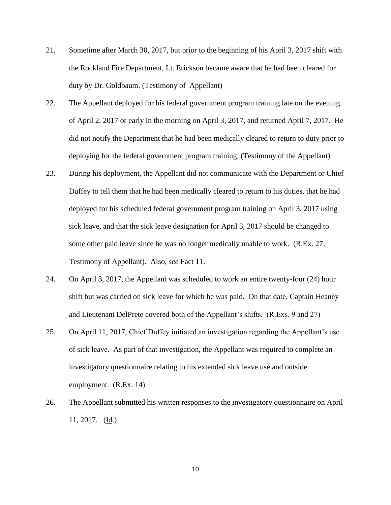- 21. Sometime after March 30, 2017, but prior to the beginning of his April 3, 2017 shift with the Rockland Fire Department, Lt. Erickson became aware that he had been cleared for duty by Dr. Goldbaum. (Testimony of Appellant)
- 22. The Appellant deployed for his federal government program training late on the evening of April 2, 2017 or early in the morning on April 3, 2017, and returned April 7, 2017. He did not notify the Department that he had been medically cleared to return to duty prior to deploying for the federal government program training. (Testimony of the Appellant)
- 23. During his deployment, the Appellant did not communicate with the Department or Chief Duffey to tell them that he had been medically cleared to return to his duties, that he had deployed for his scheduled federal government program training on April 3, 2017 using sick leave, and that the sick leave designation for April 3, 2017 should be changed to some other paid leave since he was no longer medically unable to work. (R.Ex. 27; Testimony of Appellant). Also, *see* Fact 11.
- 24. On April 3, 2017, the Appellant was scheduled to work an entire twenty-four (24) hour shift but was carried on sick leave for which he was paid. On that date, Captain Heaney and Lieutenant DelPrete covered both of the Appellant's shifts. (R.Exs. 9 and 27)
- 25. On April 11, 2017, Chief Duffey initiated an investigation regarding the Appellant's use of sick leave. As part of that investigation, the Appellant was required to complete an investigatory questionnaire relating to his extended sick leave use and outside employment. (R.Ex. 14)
- 26. The Appellant submitted his written responses to the investigatory questionnaire on April 11, 2017. (Id.)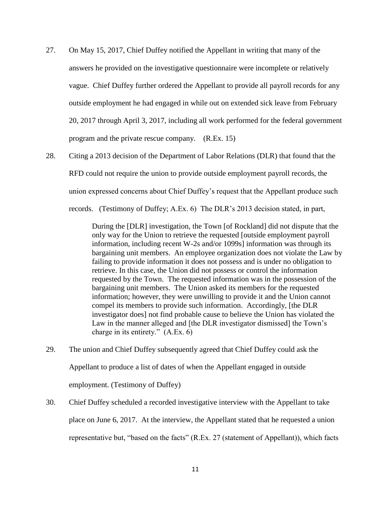- 27. On May 15, 2017, Chief Duffey notified the Appellant in writing that many of the answers he provided on the investigative questionnaire were incomplete or relatively vague. Chief Duffey further ordered the Appellant to provide all payroll records for any outside employment he had engaged in while out on extended sick leave from February 20, 2017 through April 3, 2017, including all work performed for the federal government program and the private rescue company. (R.Ex. 15)
- 28. Citing a 2013 decision of the Department of Labor Relations (DLR) that found that the RFD could not require the union to provide outside employment payroll records, the union expressed concerns about Chief Duffey's request that the Appellant produce such records. (Testimony of Duffey; A.Ex. 6) The DLR's 2013 decision stated, in part,

During the [DLR] investigation, the Town [of Rockland] did not dispute that the only way for the Union to retrieve the requested [outside employment payroll information, including recent W-2s and/or 1099s] information was through its bargaining unit members. An employee organization does not violate the Law by failing to provide information it does not possess and is under no obligation to retrieve. In this case, the Union did not possess or control the information requested by the Town. The requested information was in the possession of the bargaining unit members. The Union asked its members for the requested information; however, they were unwilling to provide it and the Union cannot compel its members to provide such information. Accordingly, [the DLR investigator does] not find probable cause to believe the Union has violated the Law in the manner alleged and [the DLR investigator dismissed] the Town's charge in its entirety." (A.Ex. 6)

- 29. The union and Chief Duffey subsequently agreed that Chief Duffey could ask the Appellant to produce a list of dates of when the Appellant engaged in outside employment. (Testimony of Duffey)
- 30. Chief Duffey scheduled a recorded investigative interview with the Appellant to take place on June 6, 2017. At the interview, the Appellant stated that he requested a union representative but, "based on the facts" (R.Ex. 27 (statement of Appellant)), which facts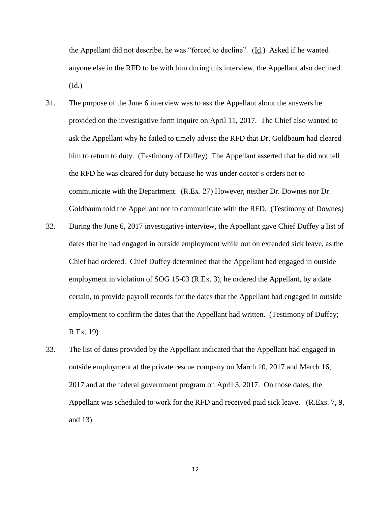the Appellant did not describe, he was "forced to decline". (Id.) Asked if he wanted anyone else in the RFD to be with him during this interview, the Appellant also declined. (Id.)

- 31. The purpose of the June 6 interview was to ask the Appellant about the answers he provided on the investigative form inquire on April 11, 2017. The Chief also wanted to ask the Appellant why he failed to timely advise the RFD that Dr. Goldbaum had cleared him to return to duty. (Testimony of Duffey) The Appellant asserted that he did not tell the RFD he was cleared for duty because he was under doctor's orders not to communicate with the Department. (R.Ex. 27) However, neither Dr. Downes nor Dr. Goldbaum told the Appellant not to communicate with the RFD. (Testimony of Downes)
- 32. During the June 6, 2017 investigative interview, the Appellant gave Chief Duffey a list of dates that he had engaged in outside employment while out on extended sick leave, as the Chief had ordered. Chief Duffey determined that the Appellant had engaged in outside employment in violation of SOG 15-03 (R.Ex. 3), he ordered the Appellant, by a date certain, to provide payroll records for the dates that the Appellant had engaged in outside employment to confirm the dates that the Appellant had written. (Testimony of Duffey; R.Ex. 19)
- 33. The list of dates provided by the Appellant indicated that the Appellant had engaged in outside employment at the private rescue company on March 10, 2017 and March 16, 2017 and at the federal government program on April 3, 2017. On those dates, the Appellant was scheduled to work for the RFD and received paid sick leave. (R.Exs. 7, 9, and 13)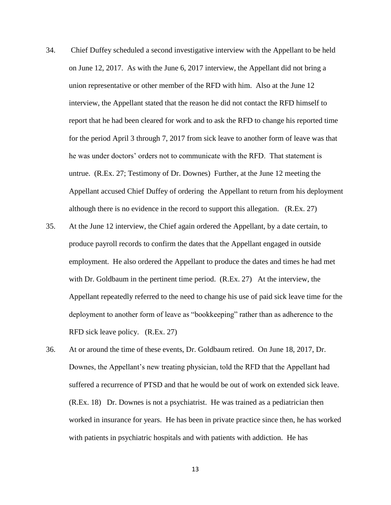- 34. Chief Duffey scheduled a second investigative interview with the Appellant to be held on June 12, 2017. As with the June 6, 2017 interview, the Appellant did not bring a union representative or other member of the RFD with him. Also at the June 12 interview, the Appellant stated that the reason he did not contact the RFD himself to report that he had been cleared for work and to ask the RFD to change his reported time for the period April 3 through 7, 2017 from sick leave to another form of leave was that he was under doctors' orders not to communicate with the RFD. That statement is untrue. (R.Ex. 27; Testimony of Dr. Downes) Further, at the June 12 meeting the Appellant accused Chief Duffey of ordering the Appellant to return from his deployment although there is no evidence in the record to support this allegation. (R.Ex. 27)
- 35. At the June 12 interview, the Chief again ordered the Appellant, by a date certain, to produce payroll records to confirm the dates that the Appellant engaged in outside employment. He also ordered the Appellant to produce the dates and times he had met with Dr. Goldbaum in the pertinent time period. (R.Ex. 27) At the interview, the Appellant repeatedly referred to the need to change his use of paid sick leave time for the deployment to another form of leave as "bookkeeping" rather than as adherence to the RFD sick leave policy. (R.Ex. 27)
- 36. At or around the time of these events, Dr. Goldbaum retired. On June 18, 2017, Dr. Downes, the Appellant's new treating physician, told the RFD that the Appellant had suffered a recurrence of PTSD and that he would be out of work on extended sick leave. (R.Ex. 18) Dr. Downes is not a psychiatrist. He was trained as a pediatrician then worked in insurance for years. He has been in private practice since then, he has worked with patients in psychiatric hospitals and with patients with addiction. He has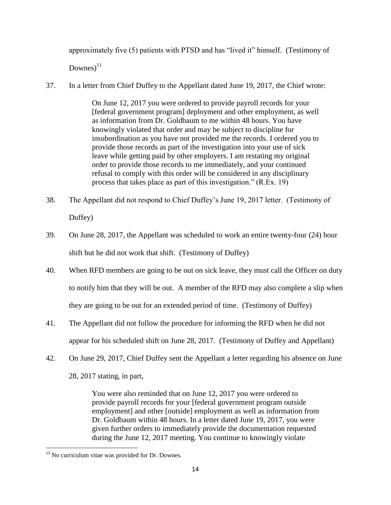approximately five (5) patients with PTSD and has "lived it" himself. (Testimony of

 $Downes)$ <sup>11</sup>

37. In a letter from Chief Duffey to the Appellant dated June 19, 2017, the Chief wrote:

On June 12, 2017 you were ordered to provide payroll records for your [federal government program] deployment and other employment, as well as information from Dr. Goldbaum to me within 48 hours. You have knowingly violated that order and may be subject to discipline for insubordination as you have not provided me the records. I ordered you to provide those records as part of the investigation into your use of sick leave while getting paid by other employers. I am restating my original order to provide those records to me immediately, and your continued refusal to comply with this order will be considered in any disciplinary process that takes place as part of this investigation." (R.Ex. 19)

- 38. The Appellant did not respond to Chief Duffey's June 19, 2017 letter. (Testimony of Duffey)
- 39. On June 28, 2017, the Appellant was scheduled to work an entire twenty-four (24) hour shift but he did not work that shift. (Testimony of Duffey)
- 40. When RFD members are going to be out on sick leave, they must call the Officer on duty to notify him that they will be out. A member of the RFD may also complete a slip when they are going to be out for an extended period of time. (Testimony of Duffey)
- 41. The Appellant did not follow the procedure for informing the RFD when he did not appear for his scheduled shift on June 28, 2017. (Testimony of Duffey and Appellant)
- 42. On June 29, 2017, Chief Duffey sent the Appellant a letter regarding his absence on June 28, 2017 stating, in part,

You were also reminded that on June 12, 2017 you were ordered to provide payroll records for your [federal government program outside employment] and other [outside] employment as well as information from Dr. Goldbaum within 48 hours. In a letter dated June 19, 2017, you were given further orders to immediately provide the documentation requested during the June 12, 2017 meeting. You continue to knowingly violate

 $\overline{\phantom{a}}$ <sup>11</sup> No curriculum vitae was provided for Dr. Downes.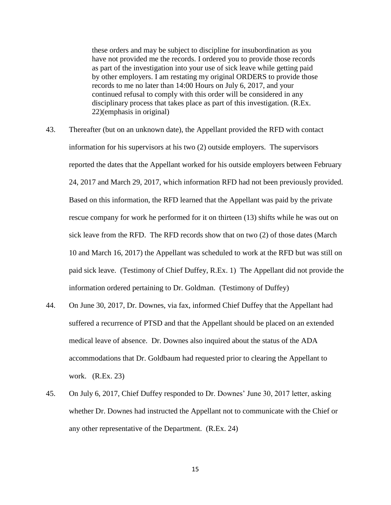these orders and may be subject to discipline for insubordination as you have not provided me the records. I ordered you to provide those records as part of the investigation into your use of sick leave while getting paid by other employers. I am restating my original ORDERS to provide those records to me no later than 14:00 Hours on July 6, 2017, and your continued refusal to comply with this order will be considered in any disciplinary process that takes place as part of this investigation. (R.Ex. 22)(emphasis in original)

- 43. Thereafter (but on an unknown date), the Appellant provided the RFD with contact information for his supervisors at his two (2) outside employers. The supervisors reported the dates that the Appellant worked for his outside employers between February 24, 2017 and March 29, 2017, which information RFD had not been previously provided. Based on this information, the RFD learned that the Appellant was paid by the private rescue company for work he performed for it on thirteen (13) shifts while he was out on sick leave from the RFD. The RFD records show that on two (2) of those dates (March 10 and March 16, 2017) the Appellant was scheduled to work at the RFD but was still on paid sick leave. (Testimony of Chief Duffey, R.Ex. 1) The Appellant did not provide the information ordered pertaining to Dr. Goldman. (Testimony of Duffey)
- 44. On June 30, 2017, Dr. Downes, via fax, informed Chief Duffey that the Appellant had suffered a recurrence of PTSD and that the Appellant should be placed on an extended medical leave of absence. Dr. Downes also inquired about the status of the ADA accommodations that Dr. Goldbaum had requested prior to clearing the Appellant to work. (R.Ex. 23)
- 45. On July 6, 2017, Chief Duffey responded to Dr. Downes' June 30, 2017 letter, asking whether Dr. Downes had instructed the Appellant not to communicate with the Chief or any other representative of the Department. (R.Ex. 24)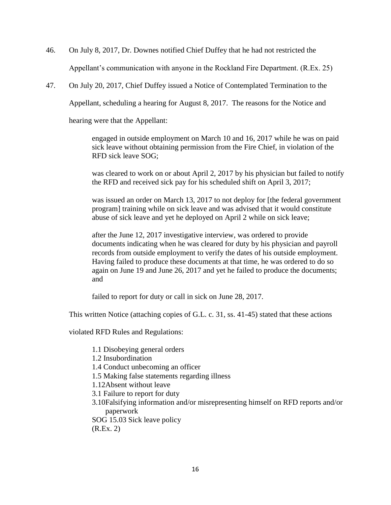- 46. On July 8, 2017, Dr. Downes notified Chief Duffey that he had not restricted the Appellant's communication with anyone in the Rockland Fire Department. (R.Ex. 25)
- 47. On July 20, 2017, Chief Duffey issued a Notice of Contemplated Termination to the

Appellant, scheduling a hearing for August 8, 2017. The reasons for the Notice and

hearing were that the Appellant:

engaged in outside employment on March 10 and 16, 2017 while he was on paid sick leave without obtaining permission from the Fire Chief, in violation of the RFD sick leave SOG;

was cleared to work on or about April 2, 2017 by his physician but failed to notify the RFD and received sick pay for his scheduled shift on April 3, 2017;

was issued an order on March 13, 2017 to not deploy for [the federal government program] training while on sick leave and was advised that it would constitute abuse of sick leave and yet he deployed on April 2 while on sick leave;

after the June 12, 2017 investigative interview, was ordered to provide documents indicating when he was cleared for duty by his physician and payroll records from outside employment to verify the dates of his outside employment. Having failed to produce these documents at that time, he was ordered to do so again on June 19 and June 26, 2017 and yet he failed to produce the documents; and

failed to report for duty or call in sick on June 28, 2017.

This written Notice (attaching copies of G.L. c. 31, ss. 41-45) stated that these actions

violated RFD Rules and Regulations:

- 1.1 Disobeying general orders
- 1.2 Insubordination
- 1.4 Conduct unbecoming an officer
- 1.5 Making false statements regarding illness
- 1.12Absent without leave
- 3.1 Failure to report for duty
- 3.10Falsifying information and/or misrepresenting himself on RFD reports and/or paperwork

SOG 15.03 Sick leave policy (R.Ex. 2)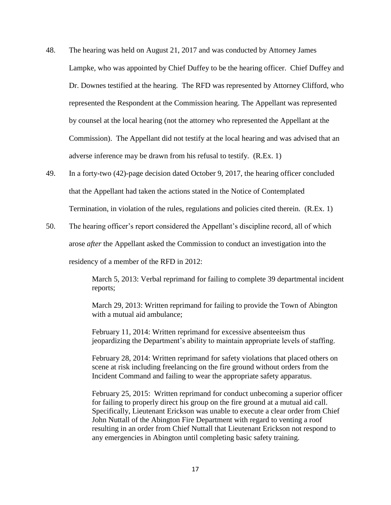- 48. The hearing was held on August 21, 2017 and was conducted by Attorney James Lampke, who was appointed by Chief Duffey to be the hearing officer. Chief Duffey and Dr. Downes testified at the hearing. The RFD was represented by Attorney Clifford, who represented the Respondent at the Commission hearing. The Appellant was represented by counsel at the local hearing (not the attorney who represented the Appellant at the Commission). The Appellant did not testify at the local hearing and was advised that an adverse inference may be drawn from his refusal to testify. (R.Ex. 1)
- 49. In a forty-two (42)-page decision dated October 9, 2017, the hearing officer concluded that the Appellant had taken the actions stated in the Notice of Contemplated Termination, in violation of the rules, regulations and policies cited therein. (R.Ex. 1)
- 50. The hearing officer's report considered the Appellant's discipline record, all of which arose *after* the Appellant asked the Commission to conduct an investigation into the

residency of a member of the RFD in 2012:

March 5, 2013: Verbal reprimand for failing to complete 39 departmental incident reports;

March 29, 2013: Written reprimand for failing to provide the Town of Abington with a mutual aid ambulance;

February 11, 2014: Written reprimand for excessive absenteeism thus jeopardizing the Department's ability to maintain appropriate levels of staffing.

February 28, 2014: Written reprimand for safety violations that placed others on scene at risk including freelancing on the fire ground without orders from the Incident Command and failing to wear the appropriate safety apparatus.

February 25, 2015: Written reprimand for conduct unbecoming a superior officer for failing to properly direct his group on the fire ground at a mutual aid call. Specifically, Lieutenant Erickson was unable to execute a clear order from Chief John Nuttall of the Abington Fire Department with regard to venting a roof resulting in an order from Chief Nuttall that Lieutenant Erickson not respond to any emergencies in Abington until completing basic safety training.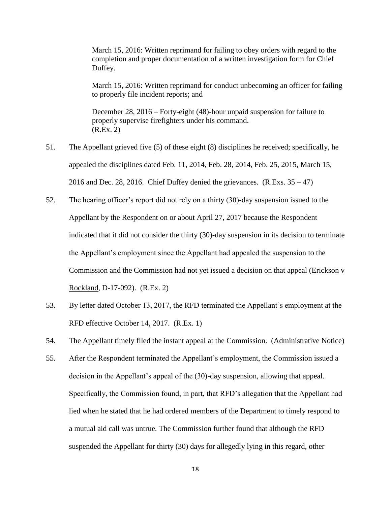March 15, 2016: Written reprimand for failing to obey orders with regard to the completion and proper documentation of a written investigation form for Chief Duffey.

March 15, 2016: Written reprimand for conduct unbecoming an officer for failing to properly file incident reports; and

December 28, 2016 – Forty-eight (48)-hour unpaid suspension for failure to properly supervise firefighters under his command. (R.Ex. 2)

- 51. The Appellant grieved five (5) of these eight (8) disciplines he received; specifically, he appealed the disciplines dated Feb. 11, 2014, Feb. 28, 2014, Feb. 25, 2015, March 15, 2016 and Dec. 28, 2016. Chief Duffey denied the grievances.  $(R.Exs. 35 - 47)$
- 52. The hearing officer's report did not rely on a thirty (30)-day suspension issued to the Appellant by the Respondent on or about April 27, 2017 because the Respondent indicated that it did not consider the thirty (30)-day suspension in its decision to terminate the Appellant's employment since the Appellant had appealed the suspension to the Commission and the Commission had not yet issued a decision on that appeal (Erickson v Rockland, D-17-092). (R.Ex. 2)
- 53. By letter dated October 13, 2017, the RFD terminated the Appellant's employment at the RFD effective October 14, 2017. (R.Ex. 1)
- 54. The Appellant timely filed the instant appeal at the Commission. (Administrative Notice)
- 55. After the Respondent terminated the Appellant's employment, the Commission issued a decision in the Appellant's appeal of the (30)-day suspension, allowing that appeal. Specifically, the Commission found, in part, that RFD's allegation that the Appellant had lied when he stated that he had ordered members of the Department to timely respond to a mutual aid call was untrue. The Commission further found that although the RFD suspended the Appellant for thirty (30) days for allegedly lying in this regard, other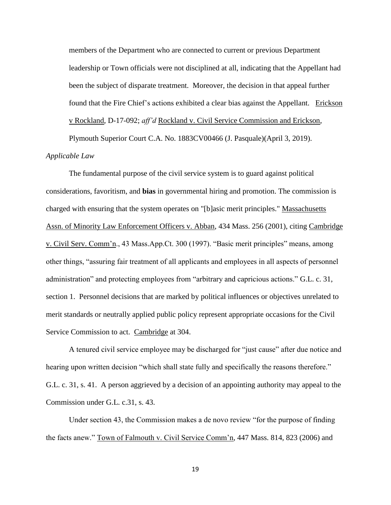members of the Department who are connected to current or previous Department leadership or Town officials were not disciplined at all, indicating that the Appellant had been the subject of disparate treatment. Moreover, the decision in that appeal further found that the Fire Chief's actions exhibited a clear bias against the Appellant. Erickson v Rockland, D-17-092; *aff'd* Rockland v. Civil Service Commission and Erickson,

Plymouth Superior Court C.A. No. 1883CV00466 (J. Pasquale)(April 3, 2019).

## *Applicable Law*

The fundamental purpose of the civil service system is to guard against political considerations, favoritism, and **bias** in governmental hiring and promotion. The commission is charged with ensuring that the system operates on "[b]asic merit principles." Massachusetts Assn. of Minority Law Enforcement Officers v. Abban, 434 Mass. 256 (2001), citing Cambridge v. Civil Serv. Comm'n., 43 Mass.App.Ct. 300 (1997). "Basic merit principles" means, among other things, "assuring fair treatment of all applicants and employees in all aspects of personnel administration" and protecting employees from "arbitrary and capricious actions." G.L. c. 31, section 1. Personnel decisions that are marked by political influences or objectives unrelated to merit standards or neutrally applied public policy represent appropriate occasions for the Civil Service Commission to act. Cambridge at 304.

A tenured civil service employee may be discharged for "just cause" after due notice and hearing upon written decision "which shall state fully and specifically the reasons therefore." G.L. c. 31, s. 41. A person aggrieved by a decision of an appointing authority may appeal to the Commission under G.L. c.31, s. 43.

Under section 43, the Commission makes a de novo review "for the purpose of finding the facts anew." Town of Falmouth v. Civil Service Comm'n, 447 Mass. 814, 823 (2006) and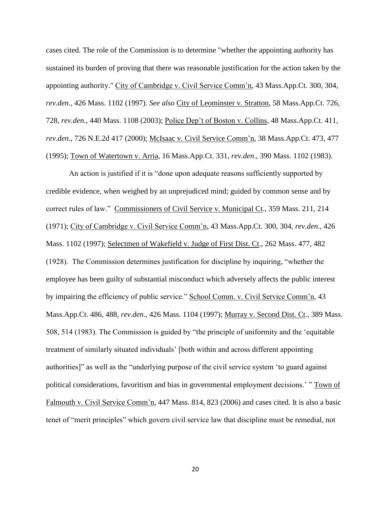cases cited. The role of the Commission is to determine "whether the appointing authority has sustained its burden of proving that there was reasonable justification for the action taken by the appointing authority." City of Cambridge v. Civil Service Comm'n, 43 Mass.App.Ct. 300, 304, *rev.den*., 426 Mass. 1102 (1997). *See also* City of Leominster v. Stratton, 58 Mass.App.Ct. 726, 728, *rev.den*., 440 Mass. 1108 (2003); Police Dep't of Boston v. Collins, 48 Mass.App.Ct. 411, *rev.den*., 726 N.E.2d 417 (2000); McIsaac v. Civil Service Comm'n, 38 Mass.App.Ct. 473, 477 (1995); Town of Watertown v. Arria, 16 Mass.App.Ct. 331, *rev.den*., 390 Mass. 1102 (1983).

An action is justified if it is "done upon adequate reasons sufficiently supported by credible evidence, when weighed by an unprejudiced mind; guided by common sense and by correct rules of law." Commissioners of Civil Service v. Municipal Ct., 359 Mass. 211, 214 (1971); City of Cambridge v. Civil Service Comm'n, 43 Mass.App.Ct. 300, 304, *rev.den*., 426 Mass. 1102 (1997); Selectmen of Wakefield v. Judge of First Dist. Ct., 262 Mass. 477, 482 (1928). The Commission determines justification for discipline by inquiring, "whether the employee has been guilty of substantial misconduct which adversely affects the public interest by impairing the efficiency of public service." School Comm. v. Civil Service Comm'n, 43 Mass.App.Ct. 486, 488, *rev.den*., 426 Mass. 1104 (1997); Murray v. Second Dist. Ct., 389 Mass. 508, 514 (1983). The Commission is guided by "the principle of uniformity and the 'equitable treatment of similarly situated individuals' [both within and across different appointing authorities]" as well as the "underlying purpose of the civil service system 'to guard against political considerations, favoritism and bias in governmental employment decisions.' " Town of Falmouth v. Civil Service Comm'n, 447 Mass. 814, 823 (2006) and cases cited. It is also a basic tenet of "merit principles" which govern civil service law that discipline must be remedial, not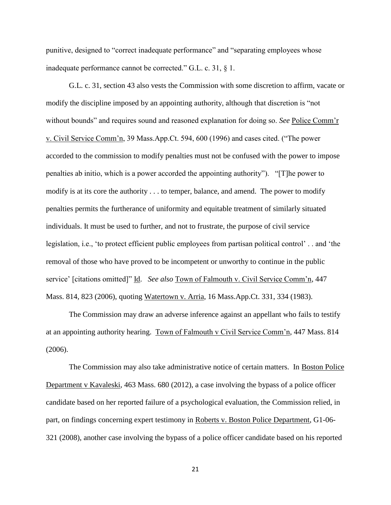punitive, designed to "correct inadequate performance" and "separating employees whose inadequate performance cannot be corrected." G.L. c. 31, § 1.

G.L. c. 31, section 43 also vests the Commission with some discretion to affirm, vacate or modify the discipline imposed by an appointing authority, although that discretion is "not without bounds" and requires sound and reasoned explanation for doing so. *See* Police Comm'r v. Civil Service Comm'n, 39 Mass.App.Ct. 594, 600 (1996) and cases cited. ("The power accorded to the commission to modify penalties must not be confused with the power to impose penalties ab initio, which is a power accorded the appointing authority"). "[T]he power to modify is at its core the authority . . . to temper, balance, and amend. The power to modify penalties permits the furtherance of uniformity and equitable treatment of similarly situated individuals. It must be used to further, and not to frustrate, the purpose of civil service legislation, i.e., 'to protect efficient public employees from partisan political control' . . and 'the removal of those who have proved to be incompetent or unworthy to continue in the public service' [citations omitted]" Id. *See also* Town of Falmouth v. Civil Service Comm'n, 447 Mass. 814, 823 (2006), quoting Watertown v. Arria, 16 Mass.App.Ct. 331, 334 (1983).

The Commission may draw an adverse inference against an appellant who fails to testify at an appointing authority hearing. Town of Falmouth v Civil Service Comm'n, 447 Mass. 814 (2006).

The Commission may also take administrative notice of certain matters. In Boston Police Department v Kavaleski, 463 Mass. 680 (2012), a case involving the bypass of a police officer candidate based on her reported failure of a psychological evaluation, the Commission relied, in part, on findings concerning expert testimony in Roberts v. Boston Police Department, G1-06- 321 (2008), another case involving the bypass of a police officer candidate based on his reported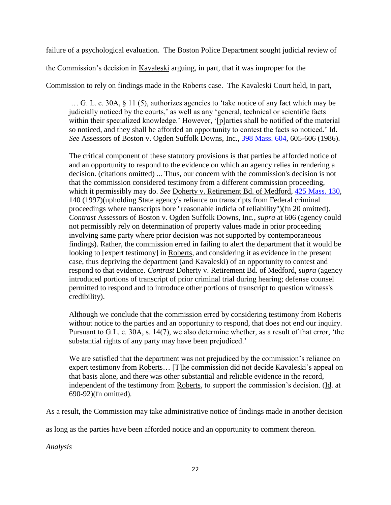failure of a psychological evaluation. The Boston Police Department sought judicial review of

the Commission's decision in Kavaleski arguing, in part, that it was improper for the

Commission to rely on findings made in the Roberts case. The Kavaleski Court held, in part,

… G. L. c. 30A, § 11 (5), authorizes agencies to 'take notice of any fact which may be judicially noticed by the courts,' as well as any 'general, technical or scientific facts within their specialized knowledge.' However, '[p]arties shall be notified of the material so noticed, and they shall be afforded an opportunity to contest the facts so noticed.' Id. *See* Assessors of Boston v. Ogden Suffolk Downs, Inc., [398 Mass. 604,](http://law.justia.com/cases/massachusetts/supreme-court/volumes/398/398mass604.html) 605-606 (1986).

The critical component of these statutory provisions is that parties be afforded notice of and an opportunity to respond to the evidence on which an agency relies in rendering a decision. (citations omitted) ... Thus, our concern with the commission's decision is not that the commission considered testimony from a different commission proceeding, which it permissibly may do. *See* Doherty v. Retirement Bd. of Medford, [425 Mass. 130,](http://law.justia.com/cases/massachusetts/supreme-court/volumes/425/425mass130.html) 140 (1997)(upholding State agency's reliance on transcripts from Federal criminal proceedings where transcripts bore "reasonable indicia of reliability")(fn 20 omitted). *Contrast* Assessors of Boston v. Ogden Suffolk Downs, Inc*.*, *supra* at 606 (agency could not permissibly rely on determination of property values made in prior proceeding involving same party where prior decision was not supported by contemporaneous findings). Rather, the commission erred in failing to alert the department that it would be looking to [expert testimony] in Roberts, and considering it as evidence in the present case, thus depriving the department (and Kavaleski) of an opportunity to contest and respond to that evidence. *Contrast* Doherty v. Retirement Bd. of Medford, *supra* (agency introduced portions of transcript of prior criminal trial during hearing; defense counsel permitted to respond and to introduce other portions of transcript to question witness's credibility).

Although we conclude that the commission erred by considering testimony from Roberts without notice to the parties and an opportunity to respond, that does not end our inquiry. Pursuant to G.L. c. 30A, s. 14(7), we also determine whether, as a result of that error, 'the substantial rights of any party may have been prejudiced.'

We are satisfied that the department was not prejudiced by the commission's reliance on expert testimony from Roberts… [T]he commission did not decide Kavaleski's appeal on that basis alone, and there was other substantial and reliable evidence in the record, independent of the testimony from Roberts, to support the commission's decision. (Id. at 690-92)(fn omitted).

As a result, the Commission may take administrative notice of findings made in another decision

as long as the parties have been afforded notice and an opportunity to comment thereon.

*Analysis*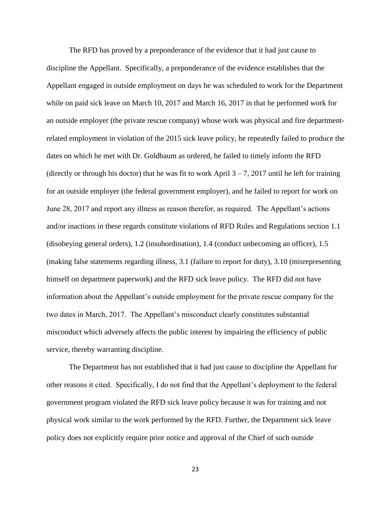The RFD has proved by a preponderance of the evidence that it had just cause to discipline the Appellant. Specifically, a preponderance of the evidence establishes that the Appellant engaged in outside employment on days he was scheduled to work for the Department while on paid sick leave on March 10, 2017 and March 16, 2017 in that he performed work for an outside employer (the private rescue company) whose work was physical and fire departmentrelated employment in violation of the 2015 sick leave policy, he repeatedly failed to produce the dates on which he met with Dr. Goldbaum as ordered, he failed to timely inform the RFD (directly or through his doctor) that he was fit to work April  $3 - 7$ , 2017 until he left for training for an outside employer (the federal government employer), and he failed to report for work on June 28, 2017 and report any illness as reason therefor, as required. The Appellant's actions and/or inactions in these regards constitute violations of RFD Rules and Regulations section 1.1 (disobeying general orders), 1.2 (insubordination), 1.4 (conduct unbecoming an officer), 1.5 (making false statements regarding illness, 3.1 (failure to report for duty), 3.10 (misrepresenting himself on department paperwork) and the RFD sick leave policy. The RFD did not have information about the Appellant's outside employment for the private rescue company for the two dates in March, 2017. The Appellant's misconduct clearly constitutes substantial misconduct which adversely affects the public interest by impairing the efficiency of public service, thereby warranting discipline.

The Department has not established that it had just cause to discipline the Appellant for other reasons it cited. Specifically, I do not find that the Appellant's deployment to the federal government program violated the RFD sick leave policy because it was for training and not physical work similar to the work performed by the RFD. Further, the Department sick leave policy does not explicitly require prior notice and approval of the Chief of such outside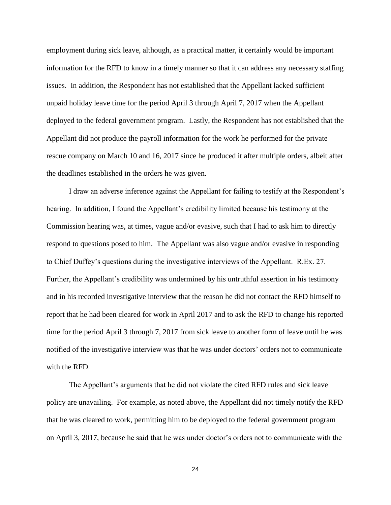employment during sick leave, although, as a practical matter, it certainly would be important information for the RFD to know in a timely manner so that it can address any necessary staffing issues. In addition, the Respondent has not established that the Appellant lacked sufficient unpaid holiday leave time for the period April 3 through April 7, 2017 when the Appellant deployed to the federal government program. Lastly, the Respondent has not established that the Appellant did not produce the payroll information for the work he performed for the private rescue company on March 10 and 16, 2017 since he produced it after multiple orders, albeit after the deadlines established in the orders he was given.

I draw an adverse inference against the Appellant for failing to testify at the Respondent's hearing. In addition, I found the Appellant's credibility limited because his testimony at the Commission hearing was, at times, vague and/or evasive, such that I had to ask him to directly respond to questions posed to him. The Appellant was also vague and/or evasive in responding to Chief Duffey's questions during the investigative interviews of the Appellant. R.Ex. 27. Further, the Appellant's credibility was undermined by his untruthful assertion in his testimony and in his recorded investigative interview that the reason he did not contact the RFD himself to report that he had been cleared for work in April 2017 and to ask the RFD to change his reported time for the period April 3 through 7, 2017 from sick leave to another form of leave until he was notified of the investigative interview was that he was under doctors' orders not to communicate with the RFD.

The Appellant's arguments that he did not violate the cited RFD rules and sick leave policy are unavailing. For example, as noted above, the Appellant did not timely notify the RFD that he was cleared to work, permitting him to be deployed to the federal government program on April 3, 2017, because he said that he was under doctor's orders not to communicate with the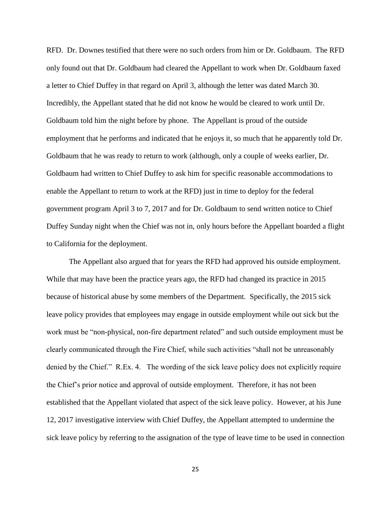RFD. Dr. Downes testified that there were no such orders from him or Dr. Goldbaum. The RFD only found out that Dr. Goldbaum had cleared the Appellant to work when Dr. Goldbaum faxed a letter to Chief Duffey in that regard on April 3, although the letter was dated March 30. Incredibly, the Appellant stated that he did not know he would be cleared to work until Dr. Goldbaum told him the night before by phone. The Appellant is proud of the outside employment that he performs and indicated that he enjoys it, so much that he apparently told Dr. Goldbaum that he was ready to return to work (although, only a couple of weeks earlier, Dr. Goldbaum had written to Chief Duffey to ask him for specific reasonable accommodations to enable the Appellant to return to work at the RFD) just in time to deploy for the federal government program April 3 to 7, 2017 and for Dr. Goldbaum to send written notice to Chief Duffey Sunday night when the Chief was not in, only hours before the Appellant boarded a flight to California for the deployment.

The Appellant also argued that for years the RFD had approved his outside employment. While that may have been the practice years ago, the RFD had changed its practice in 2015 because of historical abuse by some members of the Department. Specifically, the 2015 sick leave policy provides that employees may engage in outside employment while out sick but the work must be "non-physical, non-fire department related" and such outside employment must be clearly communicated through the Fire Chief, while such activities "shall not be unreasonably denied by the Chief." R.Ex. 4. The wording of the sick leave policy does not explicitly require the Chief's prior notice and approval of outside employment. Therefore, it has not been established that the Appellant violated that aspect of the sick leave policy. However, at his June 12, 2017 investigative interview with Chief Duffey, the Appellant attempted to undermine the sick leave policy by referring to the assignation of the type of leave time to be used in connection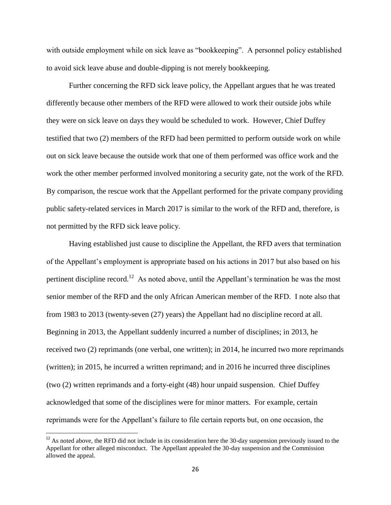with outside employment while on sick leave as "bookkeeping". A personnel policy established to avoid sick leave abuse and double-dipping is not merely bookkeeping.

Further concerning the RFD sick leave policy, the Appellant argues that he was treated differently because other members of the RFD were allowed to work their outside jobs while they were on sick leave on days they would be scheduled to work. However, Chief Duffey testified that two (2) members of the RFD had been permitted to perform outside work on while out on sick leave because the outside work that one of them performed was office work and the work the other member performed involved monitoring a security gate, not the work of the RFD. By comparison, the rescue work that the Appellant performed for the private company providing public safety-related services in March 2017 is similar to the work of the RFD and, therefore, is not permitted by the RFD sick leave policy.

Having established just cause to discipline the Appellant, the RFD avers that termination of the Appellant's employment is appropriate based on his actions in 2017 but also based on his pertinent discipline record.<sup>12</sup> As noted above, until the Appellant's termination he was the most senior member of the RFD and the only African American member of the RFD. I note also that from 1983 to 2013 (twenty-seven (27) years) the Appellant had no discipline record at all. Beginning in 2013, the Appellant suddenly incurred a number of disciplines; in 2013, he received two (2) reprimands (one verbal, one written); in 2014, he incurred two more reprimands (written); in 2015, he incurred a written reprimand; and in 2016 he incurred three disciplines (two (2) written reprimands and a forty-eight (48) hour unpaid suspension. Chief Duffey acknowledged that some of the disciplines were for minor matters. For example, certain reprimands were for the Appellant's failure to file certain reports but, on one occasion, the

 $\overline{\phantom{a}}$ 

 $12$  As noted above, the RFD did not include in its consideration here the 30-day suspension previously issued to the Appellant for other alleged misconduct. The Appellant appealed the 30-day suspension and the Commission allowed the appeal.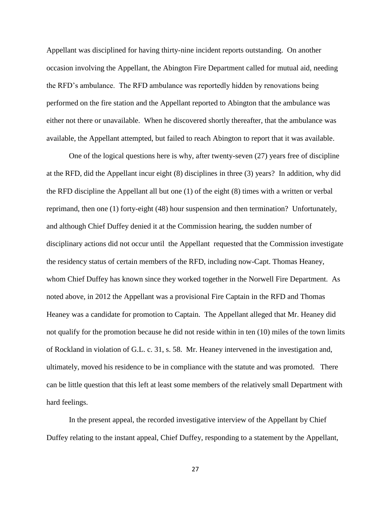Appellant was disciplined for having thirty-nine incident reports outstanding. On another occasion involving the Appellant, the Abington Fire Department called for mutual aid, needing the RFD's ambulance. The RFD ambulance was reportedly hidden by renovations being performed on the fire station and the Appellant reported to Abington that the ambulance was either not there or unavailable. When he discovered shortly thereafter, that the ambulance was available, the Appellant attempted, but failed to reach Abington to report that it was available.

One of the logical questions here is why, after twenty-seven (27) years free of discipline at the RFD, did the Appellant incur eight (8) disciplines in three (3) years? In addition, why did the RFD discipline the Appellant all but one (1) of the eight (8) times with a written or verbal reprimand, then one (1) forty-eight (48) hour suspension and then termination? Unfortunately, and although Chief Duffey denied it at the Commission hearing, the sudden number of disciplinary actions did not occur until the Appellant requested that the Commission investigate the residency status of certain members of the RFD, including now-Capt. Thomas Heaney, whom Chief Duffey has known since they worked together in the Norwell Fire Department. As noted above, in 2012 the Appellant was a provisional Fire Captain in the RFD and Thomas Heaney was a candidate for promotion to Captain. The Appellant alleged that Mr. Heaney did not qualify for the promotion because he did not reside within in ten (10) miles of the town limits of Rockland in violation of G.L. c. 31, s. 58. Mr. Heaney intervened in the investigation and, ultimately, moved his residence to be in compliance with the statute and was promoted. There can be little question that this left at least some members of the relatively small Department with hard feelings.

In the present appeal, the recorded investigative interview of the Appellant by Chief Duffey relating to the instant appeal, Chief Duffey, responding to a statement by the Appellant,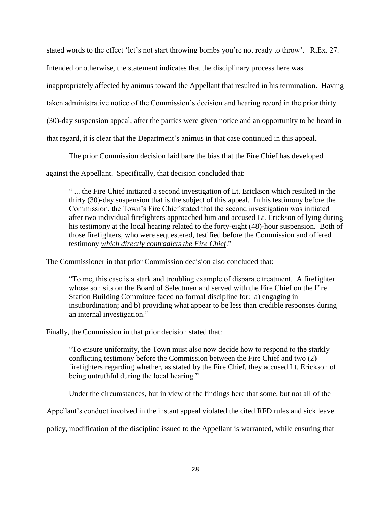stated words to the effect 'let's not start throwing bombs you're not ready to throw'. R.Ex. 27.

Intended or otherwise, the statement indicates that the disciplinary process here was

inappropriately affected by animus toward the Appellant that resulted in his termination. Having

taken administrative notice of the Commission's decision and hearing record in the prior thirty

(30)-day suspension appeal, after the parties were given notice and an opportunity to be heard in

that regard, it is clear that the Department's animus in that case continued in this appeal.

The prior Commission decision laid bare the bias that the Fire Chief has developed

against the Appellant. Specifically, that decision concluded that:

" ... the Fire Chief initiated a second investigation of Lt. Erickson which resulted in the thirty (30)-day suspension that is the subject of this appeal. In his testimony before the Commission, the Town's Fire Chief stated that the second investigation was initiated after two individual firefighters approached him and accused Lt. Erickson of lying during his testimony at the local hearing related to the forty-eight (48)-hour suspension. Both of those firefighters, who were sequestered, testified before the Commission and offered testimony *which directly contradicts the Fire Chief*."

The Commissioner in that prior Commission decision also concluded that:

"To me, this case is a stark and troubling example of disparate treatment. A firefighter whose son sits on the Board of Selectmen and served with the Fire Chief on the Fire Station Building Committee faced no formal discipline for: a) engaging in insubordination; and b) providing what appear to be less than credible responses during an internal investigation."

Finally, the Commission in that prior decision stated that:

"To ensure uniformity, the Town must also now decide how to respond to the starkly conflicting testimony before the Commission between the Fire Chief and two (2) firefighters regarding whether, as stated by the Fire Chief, they accused Lt. Erickson of being untruthful during the local hearing."

Under the circumstances, but in view of the findings here that some, but not all of the

Appellant's conduct involved in the instant appeal violated the cited RFD rules and sick leave

policy, modification of the discipline issued to the Appellant is warranted, while ensuring that